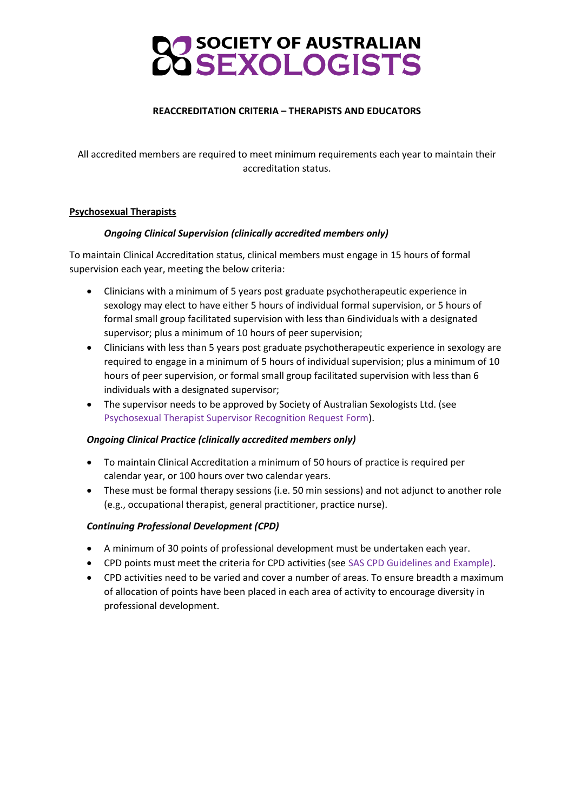# SOCIETY OF AUSTRALIAN

## **REACCREDITATION CRITERIA – THERAPISTS AND EDUCATORS**

All accredited members are required to meet minimum requirements each year to maintain their accreditation status.

## **Psychosexual Therapists**

## *Ongoing Clinical Supervision (clinically accredited members only)*

To maintain Clinical Accreditation status, clinical members must engage in 15 hours of formal supervision each year, meeting the below criteria:

- Clinicians with a minimum of 5 years post graduate psychotherapeutic experience in sexology may elect to have either 5 hours of individual formal supervision, or 5 hours of formal small group facilitated supervision with less than 6individuals with a designated supervisor; plus a minimum of 10 hours of peer supervision;
- Clinicians with less than 5 years post graduate psychotherapeutic experience in sexology are required to engage in a minimum of 5 hours of individual supervision; plus a minimum of 10 hours of peer supervision, or formal small group facilitated supervision with less than 6 individuals with a designated supervisor;
- The supervisor needs to be approved by Society of Australian Sexologists Ltd. (see Psychosexual Therapist Supervisor Recognition Request Form).

## *Ongoing Clinical Practice (clinically accredited members only)*

- To maintain Clinical Accreditation a minimum of 50 hours of practice is required per calendar year, or 100 hours over two calendar years.
- These must be formal therapy sessions (i.e. 50 min sessions) and not adjunct to another role (e.g., occupational therapist, general practitioner, practice nurse).

## *Continuing Professional Development (CPD)*

- A minimum of 30 points of professional development must be undertaken each year.
- CPD points must meet the criteria for CPD activities (see SAS CPD Guidelines and Example).
- CPD activities need to be varied and cover a number of areas. To ensure breadth a maximum of allocation of points have been placed in each area of activity to encourage diversity in professional development.